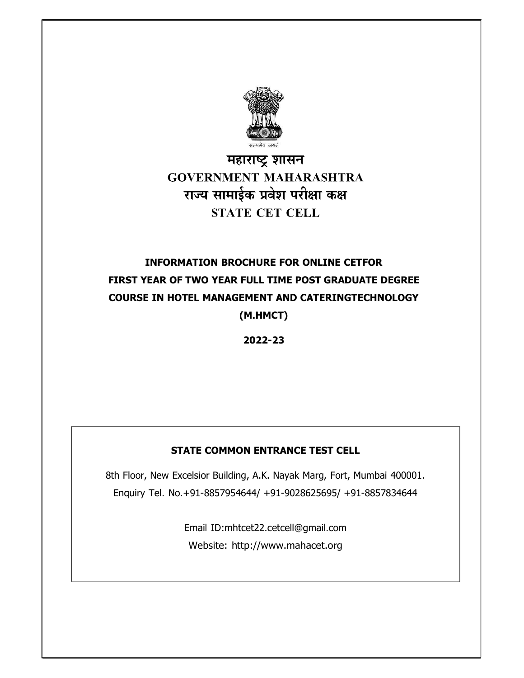

## महाराष्ट्र शासन **GOVERNMENT MAHARASHTRA** राज्य सामाईक प्रवेश परीक्षा कक्ष **STATE CET CELL**

# INFORMATION BROCHURE FOR ONLINE CETFOR FIRST YEAR OF TWO YEAR FULL TIME POST GRADUATE DEGREE COURSE IN HOTEL MANAGEMENT AND CATERINGTECHNOLOGY

(M.HMCT)

2022-23

## STATE COMMON ENTRANCE TEST CELL

8th Floor, New Excelsior Building, A.K. Nayak Marg, Fort, Mumbai 400001. Enquiry Tel. No.+91-8857954644/ +91-9028625695/ +91-8857834644

> Email ID:mhtcet22.cetcell@gmail.com Website: http://www.mahacet.org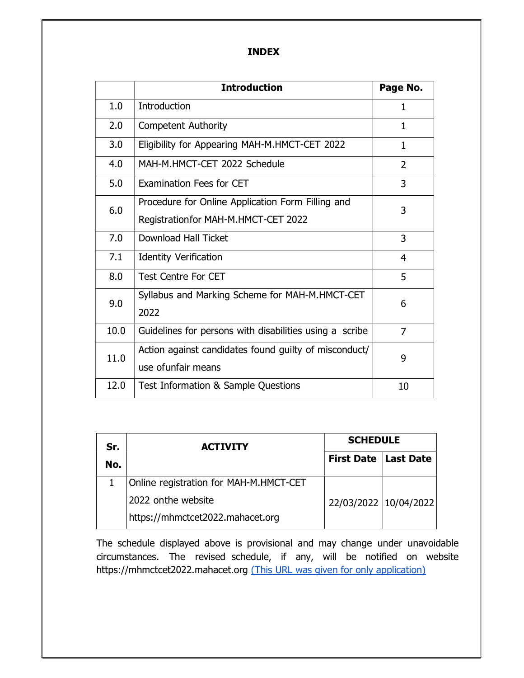#### INDEX

|      | <b>Introduction</b>                                     | Page No.       |
|------|---------------------------------------------------------|----------------|
| 1.0  | Introduction                                            | 1              |
| 2.0  | <b>Competent Authority</b>                              | 1              |
| 3.0  | Eligibility for Appearing MAH-M.HMCT-CET 2022           | $\mathbf{1}$   |
| 4.0  | MAH-M.HMCT-CET 2022 Schedule                            | $\overline{2}$ |
| 5.0  | Examination Fees for CET                                | 3              |
| 6.0  | Procedure for Online Application Form Filling and       | 3              |
|      | Registrationfor MAH-M.HMCT-CET 2022                     |                |
| 7.0  | Download Hall Ticket                                    | 3              |
| 7.1  | <b>Identity Verification</b>                            | 4              |
| 8.0  | <b>Test Centre For CET</b>                              | 5              |
| 9.0  | Syllabus and Marking Scheme for MAH-M.HMCT-CET          | 6              |
|      | 2022                                                    |                |
| 10.0 | Guidelines for persons with disabilities using a scribe | 7              |
| 11.0 | Action against candidates found guilty of misconduct/   | 9              |
|      | use of unfair means                                     |                |
| 12.0 | Test Information & Sample Questions                     | 10             |

| Sr. | <b>ACTIVITY</b>                        | <b>SCHEDULE</b>               |  |  |
|-----|----------------------------------------|-------------------------------|--|--|
| No. |                                        | <b>First Date   Last Date</b> |  |  |
|     | Online registration for MAH-M.HMCT-CET |                               |  |  |
|     | 2022 onthe website                     | 22/03/2022 10/04/2022         |  |  |
|     | https://mhmctcet2022.mahacet.org       |                               |  |  |

The schedule displayed above is provisional and may change under unavoidable circumstances. The revised schedule, if any, will be notified on website https://mhmctcet2022.mahacet.org (This URL was given for only application)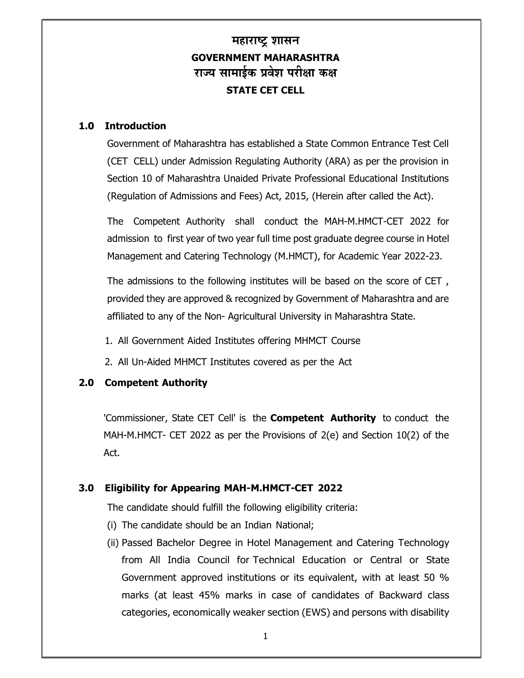## महाराष्ट्र शासन GOVERNMENT MAHARASHTRA राज्य सामाईक प्रवेश परीक्षा कक्ष STATE CET CELL

## 1.0 Introduction

Government of Maharashtra has established a State Common Entrance Test Cell (CET CELL) under Admission Regulating Authority (ARA) as per the provision in Section 10 of Maharashtra Unaided Private Professional Educational Institutions (Regulation of Admissions and Fees) Act, 2015, (Herein after called the Act).

The Competent Authority shall conduct the MAH-M.HMCT-CET 2022 for admission to first year of two year full time post graduate degree course in Hotel Management and Catering Technology (M.HMCT), for Academic Year 2022-23.

The admissions to the following institutes will be based on the score of CET , provided they are approved & recognized by Government of Maharashtra and are affiliated to any of the Non- Agricultural University in Maharashtra State.

- 1. All Government Aided Institutes offering MHMCT Course
- 2. All Un-Aided MHMCT Institutes covered as per the Act

## 2.0 Competent Authority

'Commissioner, State CET Cell' is the Competent Authority to conduct the MAH-M.HMCT- CET 2022 as per the Provisions of 2(e) and Section 10(2) of the Act.

## 3.0 Eligibility for Appearing MAH-M.HMCT-CET 2022

The candidate should fulfill the following eligibility criteria:

- (i) The candidate should be an Indian National;
- (ii) Passed Bachelor Degree in Hotel Management and Catering Technology from All India Council for Technical Education or Central or State Government approved institutions or its equivalent, with at least 50 % marks (at least 45% marks in case of candidates of Backward class categories, economically weaker section (EWS) and persons with disability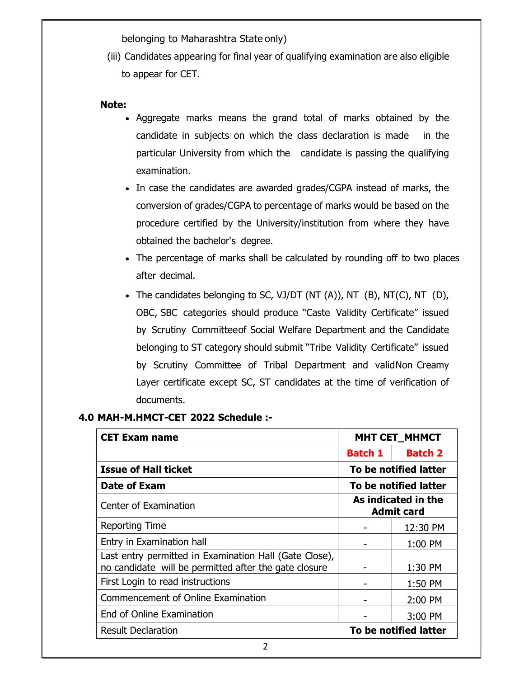belonging to Maharashtra State only)

(iii) Candidates appearing for final year of qualifying examination are also eligible to appear for CET.

#### Note:

- Aggregate marks means the grand total of marks obtained by the candidate in subjects on which the class declaration is made in the particular University from which the candidate is passing the qualifying examination.
- In case the candidates are awarded grades/CGPA instead of marks, the conversion of grades/CGPA to percentage of marks would be based on the procedure certified by the University/institution from where they have obtained the bachelor's degree.
- The percentage of marks shall be calculated by rounding off to two places after decimal.
- The candidates belonging to SC, VJ/DT (NT  $(A)$ ), NT  $(B)$ , NT $(C)$ , NT  $(D)$ , OBC, SBC categories should produce "Caste Validity Certificate" issued by Scrutiny Committee of Social Welfare Department and the Candidate belonging to ST category should submit "Tribe Validity Certificate" issued by Scrutiny Committee of Tribal Department and valid Non Creamy Layer certificate except SC, ST candidates at the time of verification of documents.

## 4.0 MAH-M.HMCT-CET 2022 Schedule :-

| <b>CET Exam name</b>                                                                                            | <b>MHT CET_MHMCT</b>                     |                       |
|-----------------------------------------------------------------------------------------------------------------|------------------------------------------|-----------------------|
|                                                                                                                 | <b>Batch 1</b>                           | <b>Batch 2</b>        |
| <b>Issue of Hall ticket</b>                                                                                     |                                          | To be notified latter |
| Date of Exam                                                                                                    | To be notified latter                    |                       |
| Center of Examination                                                                                           | As indicated in the<br><b>Admit card</b> |                       |
| <b>Reporting Time</b>                                                                                           |                                          | 12:30 PM              |
| Entry in Examination hall                                                                                       |                                          | 1:00 PM               |
| Last entry permitted in Examination Hall (Gate Close),<br>no candidate will be permitted after the gate closure |                                          | 1:30 PM               |
| First Login to read instructions                                                                                |                                          | 1:50 PM               |
| Commencement of Online Examination                                                                              |                                          | 2:00 PM               |
| End of Online Examination                                                                                       |                                          | 3:00 PM               |
| <b>Result Declaration</b>                                                                                       |                                          | To be notified latter |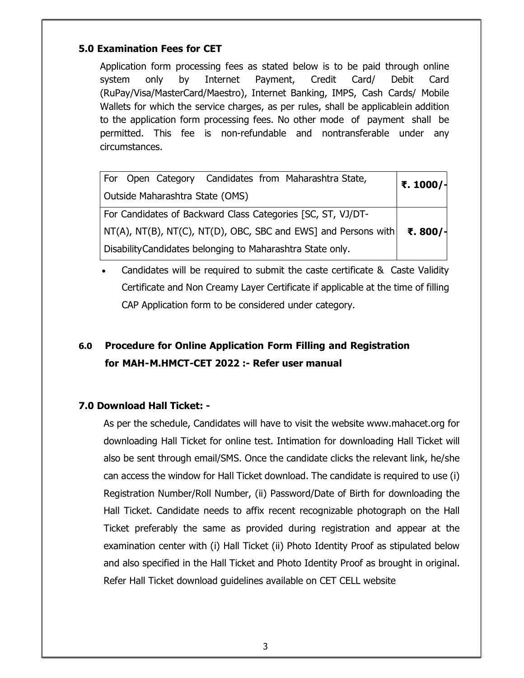## 5.0 Examination Fees for CET

Application form processing fees as stated below is to be paid through online system only by Internet Payment, Credit Card/ Debit Card (RuPay/Visa/MasterCard/Maestro), Internet Banking, IMPS, Cash Cards/ Mobile Wallets for which the service charges, as per rules, shall be applicablein addition to the application form processing fees. No other mode of payment shall be permitted. This fee is non-refundable and nontransferable under any circumstances.

| Open Category Candidates from Maharashtra State,<br>$ $ For               | ₹. 1000/- |
|---------------------------------------------------------------------------|-----------|
| Outside Maharashtra State (OMS)                                           |           |
| For Candidates of Backward Class Categories [SC, ST, VJ/DT-               |           |
| NT(A), NT(B), NT(C), NT(D), OBC, SBC and EWS] and Persons with   ₹. 800/- |           |
| Disability Candidates belonging to Maharashtra State only.                |           |

 Candidates will be required to submit the caste certificate & Caste Validity Certificate and Non Creamy Layer Certificate if applicable at the time of filling CAP Application form to be considered under category.

## 6.0 Procedure for Online Application Form Filling and Registration for MAH- M.HMCT-CET 2022 :- Refer user manual

## 7.0 Download Hall Ticket: -

As per the schedule, Candidates will have to visit the website www.mahacet.org for downloading Hall Ticket for online test. Intimation for downloading Hall Ticket will also be sent through email/SMS. Once the candidate clicks the relevant link, he/she can access the window for Hall Ticket download. The candidate is required to use (i) Registration Number/Roll Number, (ii) Password/Date of Birth for downloading the Hall Ticket. Candidate needs to affix recent recognizable photograph on the Hall Ticket preferably the same as provided during registration and appear at the examination center with (i) Hall Ticket (ii) Photo Identity Proof as stipulated below and also specified in the Hall Ticket and Photo Identity Proof as brought in original. Refer Hall Ticket download guidelines available on CET CELL website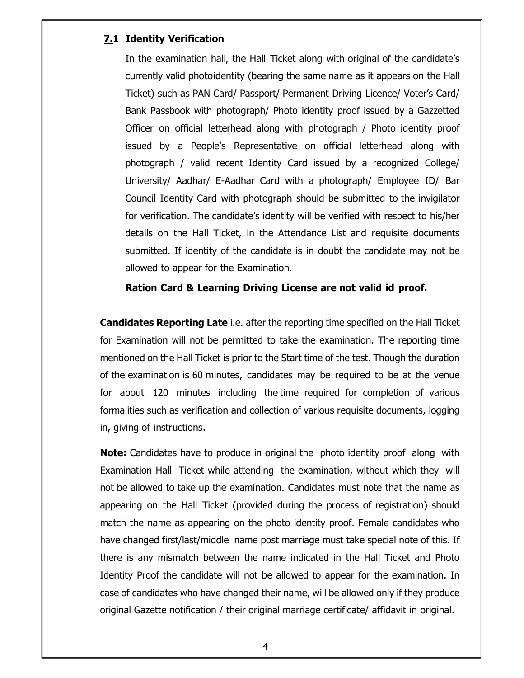## 7.1 Identity Verification

In the examination hall, the Hall Ticket along with original of the candidate's currently valid photoidentity (bearing the same name as it appears on the Hall Ticket) such as PAN Card/ Passport/ Permanent Driving Licence/ Voter's Card/ Bank Passbook with photograph/ Photo identity proof issued by a Gazzetted Officer on official letterhead along with photograph / Photo identity proof issued by a People's Representative on official letterhead along with photograph / valid recent Identity Card issued by a recognized College/ University/ Aadhar/ E-Aadhar Card with a photograph/ Employee ID/ Bar Council Identity Card with photograph should be submitted to the invigilator for verification. The candidate's identity will be verified with respect to his/her details on the Hall Ticket, in the Attendance List and requisite documents submitted. If identity of the candidate is in doubt the candidate may not be allowed to appear for the Examination.

#### Ration Card & Learning Driving License are not valid id proof.

**Candidates Reporting Late** i.e. after the reporting time specified on the Hall Ticket for Examination will not be permitted to take the examination. The reporting time mentioned on the Hall Ticket is prior to the Start time of the test. Though the duration of the examination is 60 minutes, candidates may be required to be at the venue for about 120 minutes including the time required for completion of various formalities such as verification and collection of various requisite documents, logging in, giving of instructions.

**Note:** Candidates have to produce in original the photo identity proof along with Examination Hall Ticket while attending the examination, without which they will not be allowed to take up the examination. Candidates must note that the name as appearing on the Hall Ticket (provided during the process of registration) should match the name as appearing on the photo identity proof. Female candidates who have changed first/last/middle name post marriage must take special note of this. If there is any mismatch between the name indicated in the Hall Ticket and Photo Identity Proof the candidate will not be allowed to appear for the examination. In case of candidates who have changed their name, will be allowed only if they produce original Gazette notification / their original marriage certificate/ affidavit in original.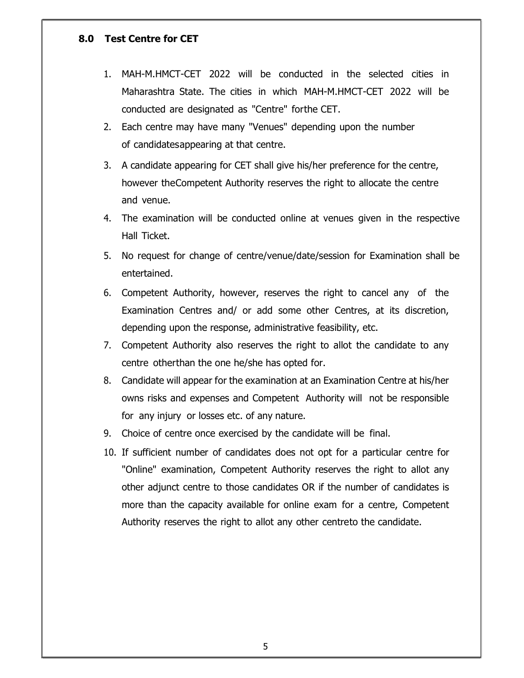## 8.0 Test Centre for CET

- 1. MAH-M.HMCT-CET 2022 will be conducted in the selected cities in Maharashtra State. The cities in which MAH-M.HMCT-CET 2022 will be conducted are designated as "Centre" for the CET.
- 2. Each centre may have many "Venues" depending upon the number of candidates appearing at that centre.
- 3. A candidate appearing for CET shall give his/her preference for the centre, however the Competent Authority reserves the right to allocate the centre and venue.
- 4. The examination will be conducted online at venues given in the respective Hall Ticket.
- 5. No request for change of centre/venue/date/session for Examination shall be entertained.
- 6. Competent Authority, however, reserves the right to cancel any of the Examination Centres and/ or add some other Centres, at its discretion, depending upon the response, administrative feasibility, etc.
- 7. Competent Authority also reserves the right to allot the candidate to any centre other than the one he/she has opted for.
- 8. Candidate will appear for the examination at an Examination Centre at his/her owns risks and expenses and Competent Authority will not be responsible for any injury or losses etc. of any nature.
- 9. Choice of centre once exercised by the candidate will be final.
- 10. If sufficient number of candidates does not opt for a particular centre for "Online" examination, Competent Authority reserves the right to allot any other adjunct centre to those candidates OR if the number of candidates is more than the capacity available for online exam for a centre, Competent Authority reserves the right to allot any other centreto the candidate.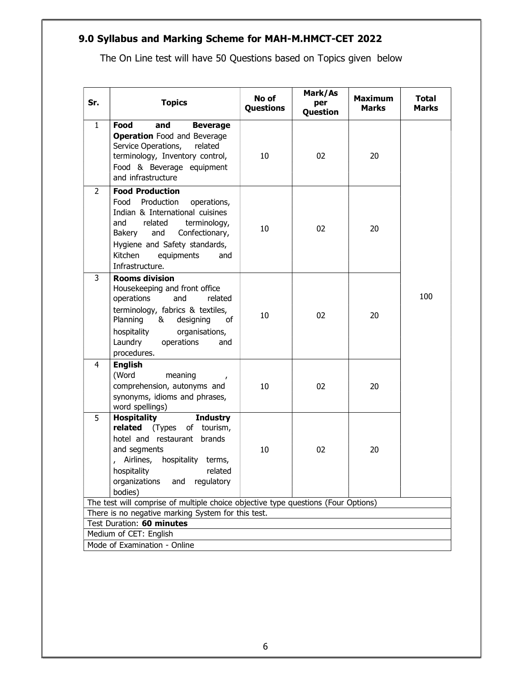## 9.0 Syllabus and Marking Scheme for MAH-M.HMCT-CET 2022

The On Line test will have 50 Questions based on Topics given below

| Sr.            | <b>Topics</b>                                                                                                                                                                                                                                        | No of<br><b>Questions</b> | Mark/As<br>per<br>Question | <b>Maximum</b><br><b>Marks</b> | <b>Total</b><br>Marks |
|----------------|------------------------------------------------------------------------------------------------------------------------------------------------------------------------------------------------------------------------------------------------------|---------------------------|----------------------------|--------------------------------|-----------------------|
| $\mathbf{1}$   | Food<br>and<br><b>Beverage</b><br><b>Operation</b> Food and Beverage<br>Service Operations,<br>related<br>terminology, Inventory control,<br>Food & Beverage equipment<br>and infrastructure                                                         | 10                        | 02                         | 20                             |                       |
| $\overline{2}$ | <b>Food Production</b><br>Food Production<br>operations,<br>Indian & International cuisines<br>terminology,<br>and<br>related<br>Confectionary,<br>and<br>Bakery<br>Hygiene and Safety standards,<br>Kitchen<br>equipments<br>and<br>Infrastructure. | 10                        | 02                         | 20                             |                       |
| 3              | <b>Rooms division</b><br>Housekeeping and front office<br>operations<br>and<br>related<br>terminology, fabrics & textiles,<br>Planning<br>& designing<br>οf<br>hospitality<br>organisations,<br>Laundry<br>operations<br>and<br>procedures.          | 10                        | 02                         | 20                             | 100                   |
| 4              | <b>English</b><br>(Word<br>meaning<br>comprehension, autonyms and<br>synonyms, idioms and phrases,<br>word spellings)                                                                                                                                | 10                        | 02                         | 20                             |                       |
| 5              | <b>Hospitality</b><br><b>Industry</b><br><b>related</b> (Types<br>of tourism,<br>hotel and restaurant brands<br>and segments<br>Airlines, hospitality terms,<br>hospitality related<br>organizations<br>and<br>regulatory<br>bodies)                 | 10                        | 02                         | 20                             |                       |
|                | The test will comprise of multiple choice objective type questions (Four Options)                                                                                                                                                                    |                           |                            |                                |                       |
|                | There is no negative marking System for this test.                                                                                                                                                                                                   |                           |                            |                                |                       |
|                | Test Duration: 60 minutes                                                                                                                                                                                                                            |                           |                            |                                |                       |
|                | Medium of CET: English<br>Mode of Examination - Online                                                                                                                                                                                               |                           |                            |                                |                       |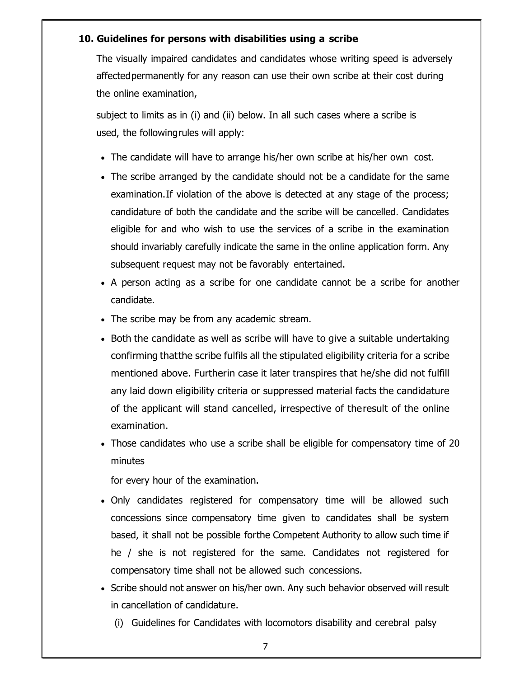## 10. Guidelines for persons with disabilities using a scribe

The visually impaired candidates and candidates whose writing speed is adversely affected permanently for any reason can use their own scribe at their cost during the online examination,

subject to limits as in (i) and (ii) below. In all such cases where a scribe is used, the following rules will apply:

- The candidate will have to arrange his/her own scribe at his/her own cost.
- The scribe arranged by the candidate should not be a candidate for the same examination. If violation of the above is detected at any stage of the process; candidature of both the candidate and the scribe will be cancelled. Candidates eligible for and who wish to use the services of a scribe in the examination should invariably carefully indicate the same in the online application form. Any subsequent request may not be favorably entertained.
- A person acting as a scribe for one candidate cannot be a scribe for another candidate.
- The scribe may be from any academic stream.
- Both the candidate as well as scribe will have to give a suitable undertaking confirming that the scribe fulfils all the stipulated eligibility criteria for a scribe mentioned above. Further in case it later transpires that he/she did not fulfill any laid down eligibility criteria or suppressed material facts the candidature of the applicant will stand cancelled, irrespective of the result of the online examination.
- Those candidates who use a scribe shall be eligible for compensatory time of 20 minutes

for every hour of the examination.

- Only candidates registered for compensatory time will be allowed such concessions since compensatory time given to candidates shall be system based, it shall not be possible for the Competent Authority to allow such time if he / she is not registered for the same. Candidates not registered for compensatory time shall not be allowed such concessions.
- Scribe should not answer on his/her own. Any such behavior observed will result in cancellation of candidature.
	- (i) Guidelines for Candidates with locomotors disability and cerebral palsy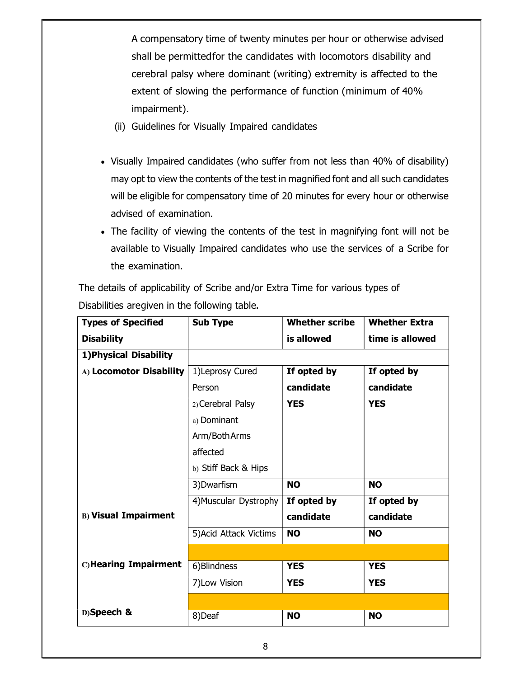A compensatory time of twenty minutes per hour or otherwise advised shall be permitted for the candidates with locomotors disability and cerebral palsy where dominant (writing) extremity is affected to the extent of slowing the performance of function (minimum of 40% impairment).

- (ii) Guidelines for Visually Impaired candidates
- Visually Impaired candidates (who suffer from not less than 40% of disability) may opt to view the contents of the test in magnified font and all such candidates will be eligible for compensatory time of 20 minutes for every hour or otherwise advised of examination.
- The facility of viewing the contents of the test in magnifying font will not be available to Visually Impaired candidates who use the services of a Scribe for the examination.

The details of applicability of Scribe and/or Extra Time for various types of Disabilities aregiven in the following table.

| <b>Types of Specified</b>   | <b>Sub Type</b>        | <b>Whether scribe</b> | <b>Whether Extra</b> |
|-----------------------------|------------------------|-----------------------|----------------------|
| <b>Disability</b>           |                        | is allowed            | time is allowed      |
| 1) Physical Disability      |                        |                       |                      |
| A) Locomotor Disability     | 1)Leprosy Cured        | If opted by           | If opted by          |
|                             | Person                 | candidate             | candidate            |
|                             | 2) Cerebral Palsy      | <b>YES</b>            | <b>YES</b>           |
|                             | a) Dominant            |                       |                      |
|                             | Arm/Both Arms          |                       |                      |
|                             | affected               |                       |                      |
|                             | b) Stiff Back & Hips   |                       |                      |
|                             | 3) Dwarfism            | <b>NO</b>             | <b>NO</b>            |
|                             | 4) Muscular Dystrophy  | If opted by           | If opted by          |
| <b>B) Visual Impairment</b> |                        | candidate             | candidate            |
|                             | 5) Acid Attack Victims | <b>NO</b>             | <b>NO</b>            |
|                             |                        |                       |                      |
| C)Hearing Impairment        | 6) Blindness           | <b>YES</b>            | <b>YES</b>           |
|                             | 7) Low Vision          | <b>YES</b>            | <b>YES</b>           |
|                             |                        |                       |                      |
| D)Speech &                  | 8)Deaf                 | <b>NO</b>             | <b>NO</b>            |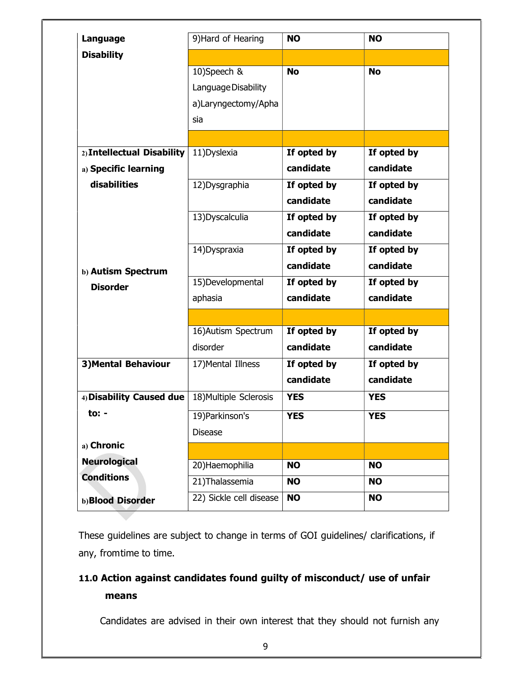| Language                   | 9) Hard of Hearing      | <b>NO</b>   | <b>NO</b>   |
|----------------------------|-------------------------|-------------|-------------|
| <b>Disability</b>          |                         |             |             |
|                            | 10)Speech &             | <b>No</b>   | <b>No</b>   |
|                            | Language Disability     |             |             |
|                            | a)Laryngectomy/Apha     |             |             |
|                            | sia                     |             |             |
|                            |                         |             |             |
| 2) Intellectual Disability | 11) Dyslexia            | If opted by | If opted by |
| a) Specific learning       |                         | candidate   | candidate   |
| disabilities               | 12) Dysgraphia          | If opted by | If opted by |
|                            |                         | candidate   | candidate   |
|                            | 13) Dyscalculia         | If opted by | If opted by |
|                            |                         | candidate   | candidate   |
|                            | 14) Dyspraxia           | If opted by | If opted by |
| b) Autism Spectrum         |                         | candidate   | candidate   |
| <b>Disorder</b>            | 15) Developmental       | If opted by | If opted by |
|                            | aphasia                 | candidate   | candidate   |
|                            |                         |             |             |
|                            | 16) Autism Spectrum     | If opted by | If opted by |
|                            | disorder                | candidate   | candidate   |
| <b>3) Mental Behaviour</b> | 17) Mental Illness      | If opted by | If opted by |
|                            |                         | candidate   | candidate   |
| 4) Disability Caused due   | 18) Multiple Sclerosis  | <b>YES</b>  | <b>YES</b>  |
| to: $-$                    | 19) Parkinson's         | <b>YES</b>  | <b>YES</b>  |
|                            | <b>Disease</b>          |             |             |
| a) Chronic                 |                         |             |             |
| <b>Neurological</b>        | 20) Haemophilia         | <b>NO</b>   | <b>NO</b>   |
| <b>Conditions</b>          | 21) Thalassemia         | <b>NO</b>   | <b>NO</b>   |
|                            | 22) Sickle cell disease | <b>NO</b>   | <b>NO</b>   |
| b)Blood Disorder           |                         |             |             |

These guidelines are subject to change in terms of GOI guidelines/ clarifications, if any, from time to time.

## 11.0 Action against candidates found guilty of misconduct/ use of unfair means

Candidates are advised in their own interest that they should not furnish any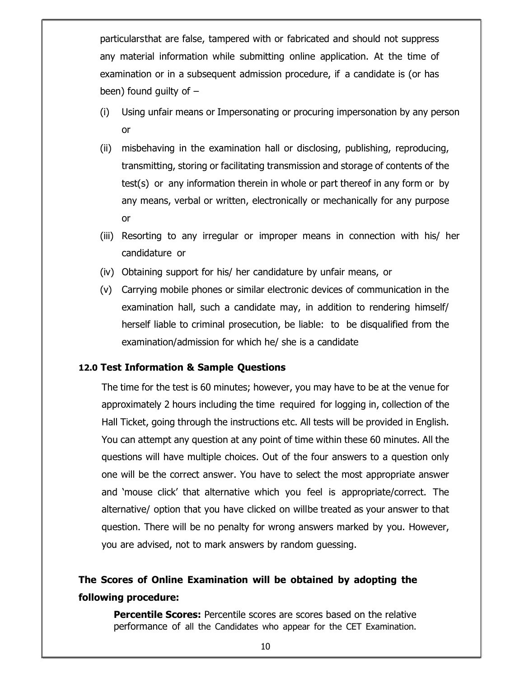particulars that are false, tampered with or fabricated and should not suppress any material information while submitting online application. At the time of examination or in a subsequent admission procedure, if a candidate is (or has been) found guilty of  $-$ 

- (i) Using unfair means or Impersonating or procuring impersonation by any person or
- (ii) misbehaving in the examination hall or disclosing, publishing, reproducing, transmitting, storing or facilitating transmission and storage of contents of the test(s) or any information therein in whole or part thereof in any form or by any means, verbal or written, electronically or mechanically for any purpose or
- (iii) Resorting to any irregular or improper means in connection with his/ her candidature or
- (iv) Obtaining support for his/ her candidature by unfair means, or
- (v) Carrying mobile phones or similar electronic devices of communication in the examination hall, such a candidate may, in addition to rendering himself/ herself liable to criminal prosecution, be liable: to be disqualified from the examination/admission for which he/ she is a candidate

#### 12.0 Test Information & Sample Questions

The time for the test is 60 minutes; however, you may have to be at the venue for approximately 2 hours including the time required for logging in, collection of the Hall Ticket, going through the instructions etc. All tests will be provided in English. You can attempt any question at any point of time within these 60 minutes. All the questions will have multiple choices. Out of the four answers to a question only one will be the correct answer. You have to select the most appropriate answer and 'mouse click' that alternative which you feel is appropriate/correct. The alternative/ option that you have clicked on willbe treated as your answer to that question. There will be no penalty for wrong answers marked by you. However, you are advised, not to mark answers by random guessing.

## The Scores of Online Examination will be obtained by adopting the following procedure:

**Percentile Scores:** Percentile scores are scores based on the relative performance of all the Candidates who appear for the CET Examination.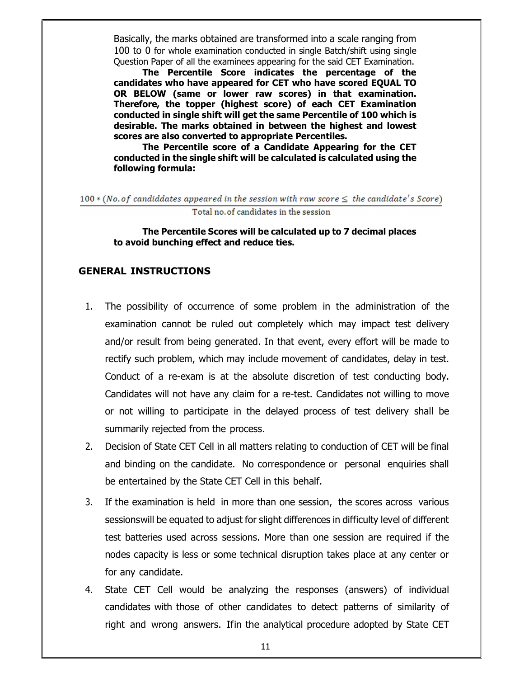Basically, the marks obtained are transformed into a scale ranging from 100 to 0 for whole examination conducted in single Batch/shift using single Question Paper of all the examinees appearing for the said CET Examination.

The Percentile Score indicates the percentage of the candidates who have appeared for CET who have scored EQUAL TO OR BELOW (same or lower raw scores) in that examination. Therefore, the topper (highest score) of each CET Examination conducted in single shift will get the same Percentile of 100 which is desirable. The marks obtained in between the highest and lowest scores are also converted to appropriate Percentiles.

The Percentile score of a Candidate Appearing for the CET conducted in the single shift will be calculated is calculated using the following formula:

 $100*(No. of candidates appeared in the session with raw score  $\leq$  the candidate's Score)$ Total no. of candidates in the session

The Percentile Scores will be calculated up to 7 decimal places to avoid bunching effect and reduce ties.

#### GENERAL INSTRUCTIONS

- 1. The possibility of occurrence of some problem in the administration of the examination cannot be ruled out completely which may impact test delivery and/or result from being generated. In that event, every effort will be made to rectify such problem, which may include movement of candidates, delay in test. Conduct of a re-exam is at the absolute discretion of test conducting body. Candidates will not have any claim for a re-test. Candidates not willing to move or not willing to participate in the delayed process of test delivery shall be summarily rejected from the process.
- 2. Decision of State CET Cell in all matters relating to conduction of CET will be final and binding on the candidate. No correspondence or personal enquiries shall be entertained by the State CET Cell in this behalf.
- 3. If the examination is held in more than one session, the scores across various sessions will be equated to adjust for slight differences in difficulty level of different test batteries used across sessions. More than one session are required if the nodes capacity is less or some technical disruption takes place at any center or for any candidate.
- 4. State CET Cell would be analyzing the responses (answers) of individual candidates with those of other candidates to detect patterns of similarity of right and wrong answers. If in the analytical procedure adopted by State CET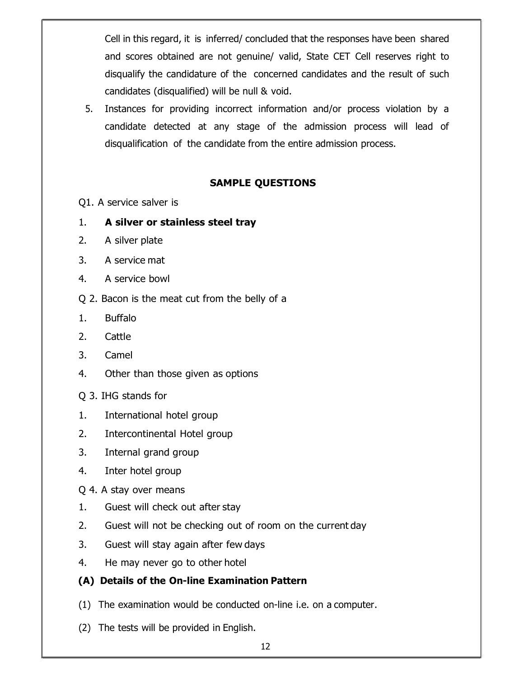Cell in this regard, it is inferred/ concluded that the responses have been shared and scores obtained are not genuine/ valid, State CET Cell reserves right to disqualify the candidature of the concerned candidates and the result of such candidates (disqualified) will be null & void.

5. Instances for providing incorrect information and/or process violation by a candidate detected at any stage of the admission process will lead of disqualification of the candidate from the entire admission process.

## SAMPLE QUESTIONS

- Q1. A service salver is
- 1. A silver or stainless steel tray
- 2. A silver plate
- 3. A service mat
- 4. A service bowl
- Q 2. Bacon is the meat cut from the belly of a
- 1. Buffalo
- 2. Cattle
- 3. Camel
- 4. Other than those given as options
- Q 3. IHG stands for
- 1. International hotel group
- 2. Intercontinental Hotel group
- 3. Internal grand group
- 4. Inter hotel group
- Q 4. A stay over means
- 1. Guest will check out after stay
- 2. Guest will not be checking out of room on the current day
- 3. Guest will stay again after few days
- 4. He may never go to other hotel
- (A) Details of the On-line Examination Pattern
- (1) The examination would be conducted on-line i.e. on a computer.
- (2) The tests will be provided in English.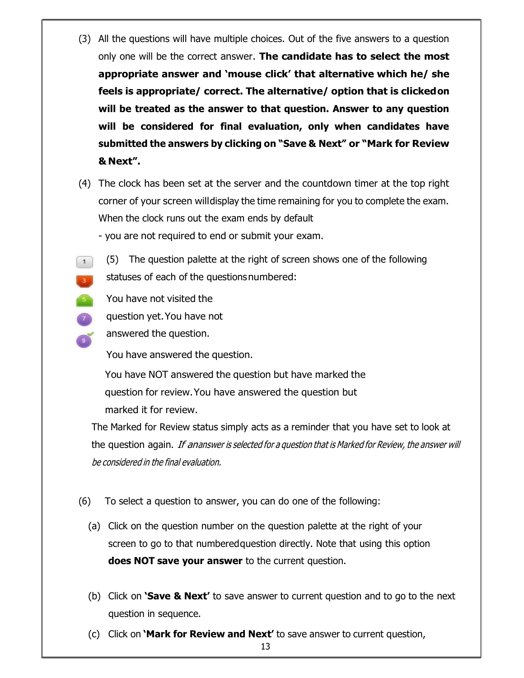- (3) All the questions will have multiple choices. Out of the five answers to a question only one will be the correct answer. The candidate has to select the most appropriate answer and 'mouse click' that alternative which he/ she feels is appropriate/ correct. The alternative/ option that is clicked on will be treated as the answer to that question. Answer to any question will be considered for final evaluation, only when candidates have submitted the answers by clicking on "Save & Next" or "Mark for Review & Next".
- (4) The clock has been set at the server and the countdown timer at the top right corner of your screen will display the time remaining for you to complete the exam. When the clock runs out the exam ends by default
	- you are not required to end or submit your exam.
- (5) The question palette at the right of screen shows one of the following  $\begin{pmatrix} 1 \end{pmatrix}$ statuses of each of the questions numbered:
- You have not visited the  $\mathcal{F}^{\mathcal{A}}$ 
	- question yet. You have not
		- answered the question.

You have answered the question.

You have NOT answered the question but have marked the question for review. You have answered the question but marked it for review.

The Marked for Review status simply acts as a reminder that you have set to look at the question again. If ananswer is selected for a question that is Marked for Review, the answer will be considered in the final evaluation.

- (6) To select a question to answer, you can do one of the following:
	- (a) Click on the question number on the question palette at the right of your screen to go to that numbered question directly. Note that using this option does NOT save your answer to the current question.
	- (b) Click on **Save & Next'** to save answer to current question and to go to the next question in sequence.
	- (c) Click on **'Mark for Review and Next'** to save answer to current question,

13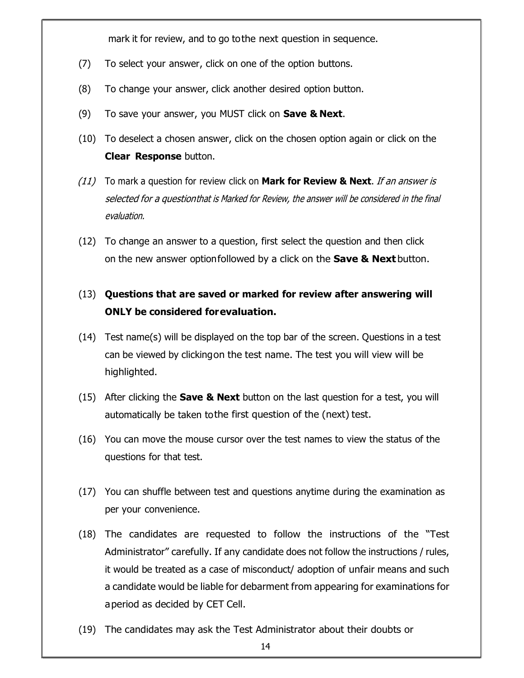mark it for review, and to go to the next question in sequence.

- (7) To select your answer, click on one of the option buttons.
- (8) To change your answer, click another desired option button.
- (9) To save your answer, you MUST click on **Save & Next**.
- (10) To deselect a chosen answer, click on the chosen option again or click on the Clear Response button.
- $(11)$  To mark a question for review click on **Mark for Review & Next**. *If an answer is* selected for a question that is Marked for Review, the answer will be considered in the final evaluation.
- (12) To change an answer to a question, first select the question and then click on the new answer option followed by a click on the **Save & Next** button.

## (13) Questions that are saved or marked for review after answering will ONLY be considered for evaluation.

- (14) Test name(s) will be displayed on the top bar of the screen. Questions in a test can be viewed by clicking on the test name. The test you will view will be highlighted.
- (15) After clicking the **Save & Next** button on the last question for a test, you will automatically be taken to the first question of the (next) test.
- (16) You can move the mouse cursor over the test names to view the status of the questions for that test.
- (17) You can shuffle between test and questions anytime during the examination as per your convenience.
- (18) The candidates are requested to follow the instructions of the "Test Administrator" carefully. If any candidate does not follow the instructions / rules, it would be treated as a case of misconduct/ adoption of unfair means and such a candidate would be liable for debarment from appearing for examinations for a period as decided by CET Cell.
- (19) The candidates may ask the Test Administrator about their doubts or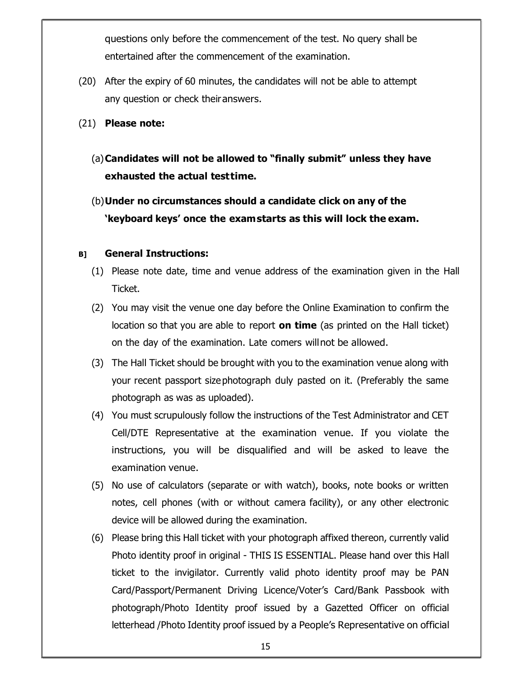questions only before the commencement of the test. No query shall be entertained after the commencement of the examination.

- (20) After the expiry of 60 minutes, the candidates will not be able to attempt any question or check their answers.
- (21) Please note:
	- (a)Candidates will not be allowed to "finally submit" unless they have exhausted the actual test time.
	- (b)Under no circumstances should a candidate click on any of the 'keyboard keys' once the exam starts as this will lock the exam.

#### B] General Instructions:

- (1) Please note date, time and venue address of the examination given in the Hall Ticket.
- (2) You may visit the venue one day before the Online Examination to confirm the location so that you are able to report **on time** (as printed on the Hall ticket) on the day of the examination. Late comers will not be allowed.
- (3) The Hall Ticket should be brought with you to the examination venue along with your recent passport size photograph duly pasted on it. (Preferably the same photograph as was as uploaded).
- (4) You must scrupulously follow the instructions of the Test Administrator and CET Cell/DTE Representative at the examination venue. If you violate the instructions, you will be disqualified and will be asked to leave the examination venue.
- (5) No use of calculators (separate or with watch), books, note books or written notes, cell phones (with or without camera facility), or any other electronic device will be allowed during the examination.
- (6) Please bring this Hall ticket with your photograph affixed thereon, currently valid Photo identity proof in original - THIS IS ESSENTIAL. Please hand over this Hall ticket to the invigilator. Currently valid photo identity proof may be PAN Card/Passport/Permanent Driving Licence/Voter's Card/Bank Passbook with photograph/Photo Identity proof issued by a Gazetted Officer on official letterhead /Photo Identity proof issued by a People's Representative on official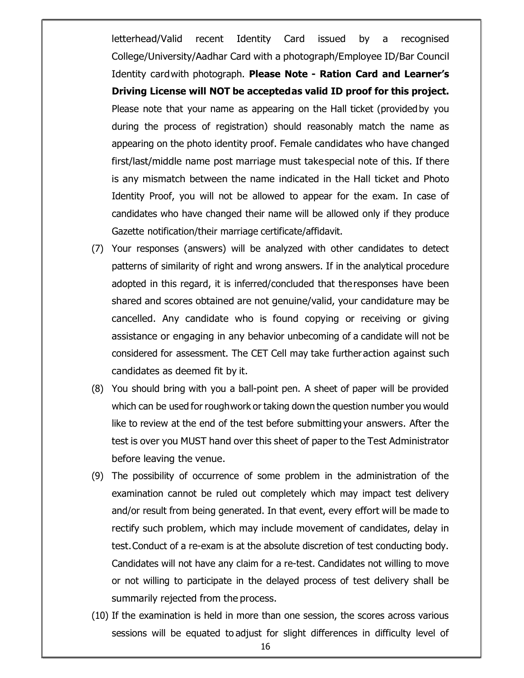letterhead/Valid recent Identity Card issued by a recognised College/University/Aadhar Card with a photograph/Employee ID/Bar Council Identity card with photograph. Please Note - Ration Card and Learner's Driving License will NOT be accepted as valid ID proof for this project. Please note that your name as appearing on the Hall ticket (provided by you during the process of registration) should reasonably match the name as appearing on the photo identity proof. Female candidates who have changed first/last/middle name post marriage must take special note of this. If there is any mismatch between the name indicated in the Hall ticket and Photo Identity Proof, you will not be allowed to appear for the exam. In case of candidates who have changed their name will be allowed only if they produce Gazette notification/their marriage certificate/affidavit.

- (7) Your responses (answers) will be analyzed with other candidates to detect patterns of similarity of right and wrong answers. If in the analytical procedure adopted in this regard, it is inferred/concluded that the responses have been shared and scores obtained are not genuine/valid, your candidature may be cancelled. Any candidate who is found copying or receiving or giving assistance or engaging in any behavior unbecoming of a candidate will not be considered for assessment. The CET Cell may take further action against such candidates as deemed fit by it.
- (8) You should bring with you a ball-point pen. A sheet of paper will be provided which can be used for rough work or taking down the question number you would like to review at the end of the test before submitting your answers. After the test is over you MUST hand over this sheet of paper to the Test Administrator before leaving the venue.
- (9) The possibility of occurrence of some problem in the administration of the examination cannot be ruled out completely which may impact test delivery and/or result from being generated. In that event, every effort will be made to rectify such problem, which may include movement of candidates, delay in test. Conduct of a re-exam is at the absolute discretion of test conducting body. Candidates will not have any claim for a re-test. Candidates not willing to move or not willing to participate in the delayed process of test delivery shall be summarily rejected from the process.
- (10) If the examination is held in more than one session, the scores across various sessions will be equated to adjust for slight differences in difficulty level of